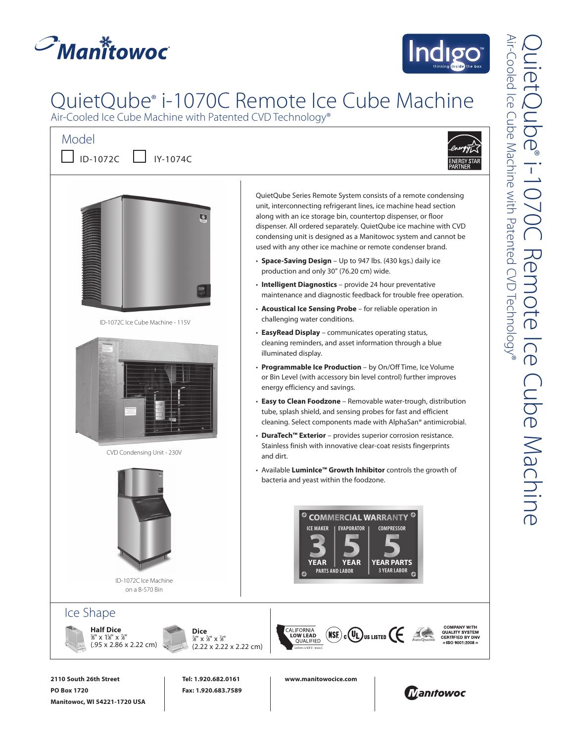



# QuietQube® i-1070C Remote Ice Cube Machine

Air-Cooled Ice Cube Machine with Patented CVD Technology®



Air-Cooled Ice Cube Machine with Patented CVD Technology® QuietQube Air-Cooled Ice Cube Machine with Patented CVD Technology **uietQube®** ® i-1070C Remote ICe Cube Machine  $\overline{\mathbb{F}}$ emote  $\overline{O}$ Cube Machine

**PO Box 1720 Manitowoc, WI 54221-1720 USA** **Fax: 1.920.683.7589**